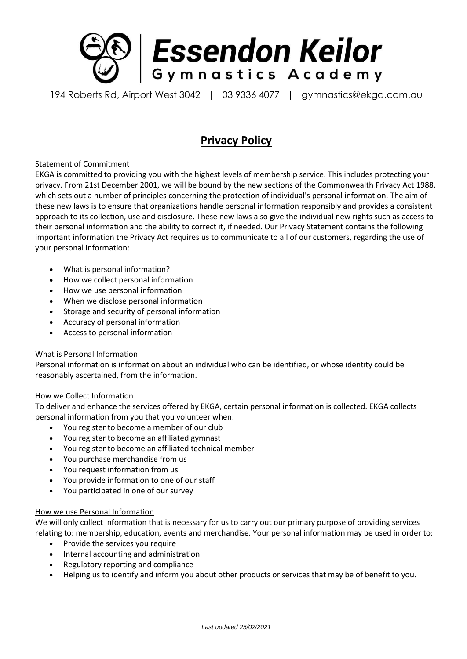

194 Roberts Rd, Airport West 3042 | 03 9336 4077 | gymnastics@ekga.com.au

# **Privacy Policy**

## Statement of Commitment

EKGA is committed to providing you with the highest levels of membership service. This includes protecting your privacy. From 21st December 2001, we will be bound by the new sections of the Commonwealth Privacy Act 1988, which sets out a number of principles concerning the protection of individual's personal information. The aim of these new laws is to ensure that organizations handle personal information responsibly and provides a consistent approach to its collection, use and disclosure. These new laws also give the individual new rights such as access to their personal information and the ability to correct it, if needed. Our Privacy Statement contains the following important information the Privacy Act requires us to communicate to all of our customers, regarding the use of your personal information:

- What is personal information?
- How we collect personal information
- How we use personal information
- When we disclose personal information
- Storage and security of personal information
- Accuracy of personal information
- Access to personal information

#### What is Personal Information

Personal information is information about an individual who can be identified, or whose identity could be reasonably ascertained, from the information.

#### How we Collect Information

To deliver and enhance the services offered by EKGA, certain personal information is collected. EKGA collects personal information from you that you volunteer when:

- You register to become a member of our club
- You register to become an affiliated gymnast
- You register to become an affiliated technical member
- You purchase merchandise from us
- You request information from us
- You provide information to one of our staff
- You participated in one of our survey

#### How we use Personal Information

We will only collect information that is necessary for us to carry out our primary purpose of providing services relating to: membership, education, events and merchandise. Your personal information may be used in order to:

- Provide the services you require
- Internal accounting and administration
- Regulatory reporting and compliance
- Helping us to identify and inform you about other products or services that may be of benefit to you.